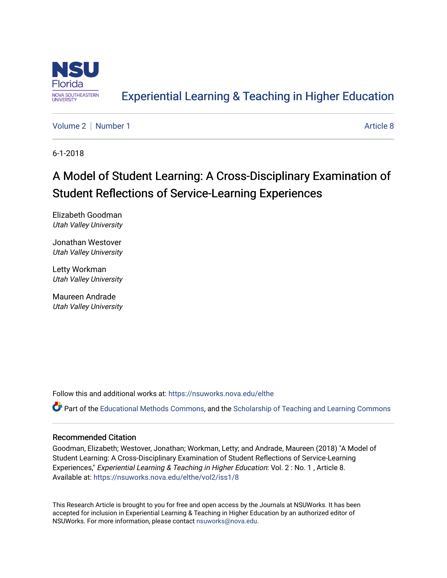

## [Experiential Learning & Teaching in Higher Education](https://nsuworks.nova.edu/elthe)

[Volume 2](https://nsuworks.nova.edu/elthe/vol2) | [Number 1](https://nsuworks.nova.edu/elthe/vol2/iss1) Article 8

6-1-2018

# A Model of Student Learning: A Cross-Disciplinary Examination of Student Reflections of Service-Learning Experiences

Elizabeth Goodman Utah Valley University

Jonathan Westover Utah Valley University

Letty Workman Utah Valley University

Maureen Andrade Utah Valley University

Follow this and additional works at: [https://nsuworks.nova.edu/elthe](https://nsuworks.nova.edu/elthe?utm_source=nsuworks.nova.edu%2Felthe%2Fvol2%2Fiss1%2F8&utm_medium=PDF&utm_campaign=PDFCoverPages)

Part of the [Educational Methods Commons,](http://network.bepress.com/hgg/discipline/1227?utm_source=nsuworks.nova.edu%2Felthe%2Fvol2%2Fiss1%2F8&utm_medium=PDF&utm_campaign=PDFCoverPages) and the Scholarship of Teaching and Learning Commons

## Recommended Citation

Goodman, Elizabeth; Westover, Jonathan; Workman, Letty; and Andrade, Maureen (2018) "A Model of Student Learning: A Cross-Disciplinary Examination of Student Reflections of Service-Learning Experiences," Experiential Learning & Teaching in Higher Education: Vol. 2 : No. 1, Article 8. Available at: [https://nsuworks.nova.edu/elthe/vol2/iss1/8](https://nsuworks.nova.edu/elthe/vol2/iss1/8?utm_source=nsuworks.nova.edu%2Felthe%2Fvol2%2Fiss1%2F8&utm_medium=PDF&utm_campaign=PDFCoverPages)

This Research Article is brought to you for free and open access by the Journals at NSUWorks. It has been accepted for inclusion in Experiential Learning & Teaching in Higher Education by an authorized editor of NSUWorks. For more information, please contact [nsuworks@nova.edu](mailto:nsuworks@nova.edu).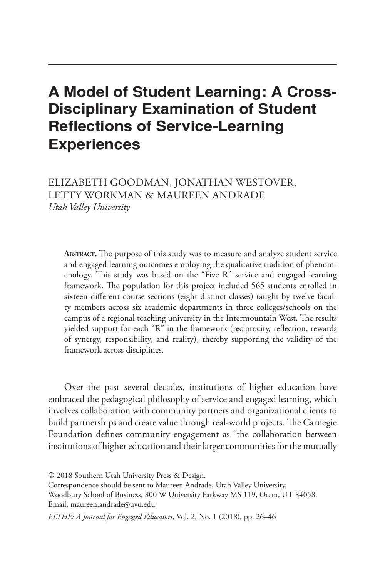## A Model of Student Learning: A Cross-Disciplinary Examination of Student Reflections of Service-Learning **Experiences**

ELIZABETH GOODMAN, JONATHAN WESTOVER, LETTY WORKMAN & MAUREEN ANDRADE *Utah Valley University*

**Abstract.** The purpose of this study was to measure and analyze student service and engaged learning outcomes employing the qualitative tradition of phenomenology. This study was based on the "Five R" service and engaged learning framework. The population for this project included 565 students enrolled in sixteen different course sections (eight distinct classes) taught by twelve faculty members across six academic departments in three colleges/schools on the campus of a regional teaching university in the Intermountain West. The results yielded support for each "R" in the framework (reciprocity, reflection, rewards of synergy, responsibility, and reality), thereby supporting the validity of the framework across disciplines.

Over the past several decades, institutions of higher education have embraced the pedagogical philosophy of service and engaged learning, which involves collaboration with community partners and organizational clients to build partnerships and create value through real-world projects. The Carnegie Foundation defines community engagement as "the collaboration between institutions of higher education and their larger communities for the mutually

*ELTHE: A Journal for Engaged Educators*, Vol. 2, No. 1 (2018), pp. 26-46

<sup>© 2018</sup> Southern Utah University Press & Design.

Correspondence should be sent to Maureen Andrade, Utah Valley University,

Woodbury School of Business, 800 W University Parkway MS 119, Orem, UT 84058. Email: maureen.andrade@uvu.edu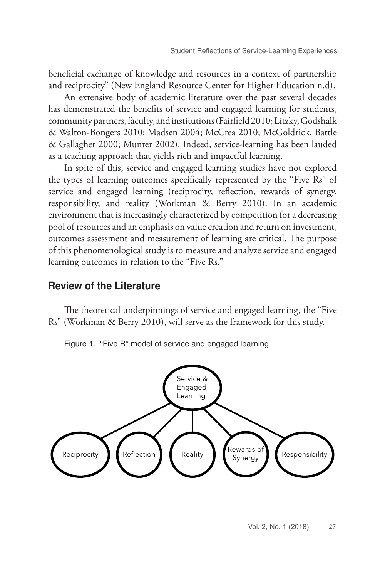beneficial exchange of knowledge and resources in a context of partnership and reciprocity" (New England Resource Center for Higher Education n.d).

An extensive body of academic literature over the past several decades has demonstrated the benefits of service and engaged learning for students, community partners, faculty, and institutions (Fairfield 2010; Litzky, Godshalk & Walton-Bongers 2010; Madsen 2004; McCrea 2010; McGoldrick, Battle & Gallagher 2000; Munter 2002). Indeed, service-learning has been lauded as a teaching approach that yields rich and impactful learning.

In spite of this, service and engaged learning studies have not explored the types of learning outcomes specifically represented by the "Five Rs" of service and engaged learning (reciprocity, reflection, rewards of synergy, responsibility, and reality (Workman & Berry 2010). In an academic environment that is increasingly characterized by competition for a decreasing pool of resources and an emphasis on value creation and return on investment, outcomes assessment and measurement of learning are critical. The purpose of this phenomenological study is to measure and analyze service and engaged learning outcomes in relation to the "Five Rs."

## Review of the Literature

The theoretical underpinnings of service and engaged learning, the "Five Rs" (Workman & Berry 2010), will serve as the framework for this study.

Figure 1. "Five R" model of service and engaged learning

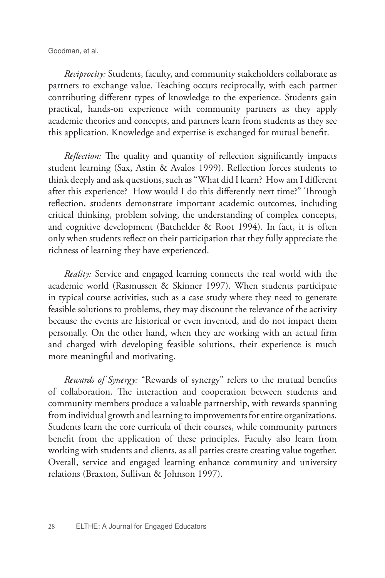Goodman, et al.

*Reciprocity:* Students, faculty, and community stakeholders collaborate as partners to exchange value. Teaching occurs reciprocally, with each partner contributing different types of knowledge to the experience. Students gain practical, hands-on experience with community partners as they apply academic theories and concepts, and partners learn from students as they see this application. Knowledge and expertise is exchanged for mutual benefit.

*Reflection:* The quality and quantity of reflection significantly impacts student learning (Sax, Astin & Avalos 1999). Reflection forces students to think deeply and ask questions, such as "What did I learn? How am I different after this experience? How would I do this differently next time?" Through reflection, students demonstrate important academic outcomes, including critical thinking, problem solving, the understanding of complex concepts, and cognitive development (Batchelder & Root 1994). In fact, it is often only when students reflect on their participation that they fully appreciate the richness of learning they have experienced.

*Reality:* Service and engaged learning connects the real world with the academic world (Rasmussen & Skinner 1997). When students participate in typical course activities, such as a case study where they need to generate feasible solutions to problems, they may discount the relevance of the activity because the events are historical or even invented, and do not impact them personally. On the other hand, when they are working with an actual firm and charged with developing feasible solutions, their experience is much more meaningful and motivating.

*Rewards of Synergy:* "Rewards of synergy" refers to the mutual benefits of collaboration. The interaction and cooperation between students and community members produce a valuable partnership, with rewards spanning from individual growth and learning to improvements for entire organizations. Students learn the core curricula of their courses, while community partners benefit from the application of these principles. Faculty also learn from working with students and clients, as all parties create creating value together. Overall, service and engaged learning enhance community and university relations (Braxton, Sullivan & Johnson 1997).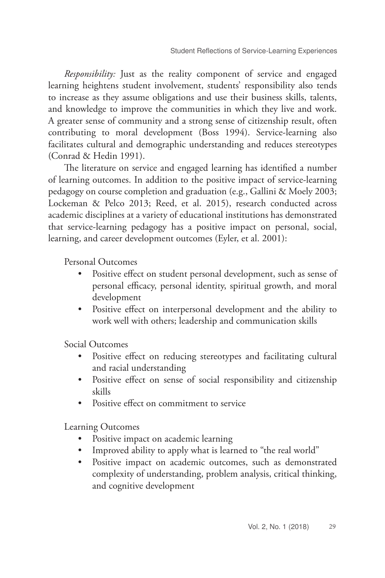*Responsibility:* Just as the reality component of service and engaged learning heightens student involvement, students' responsibility also tends to increase as they assume obligations and use their business skills, talents, and knowledge to improve the communities in which they live and work. A greater sense of community and a strong sense of citizenship result, often contributing to moral development (Boss 1994). Service-learning also facilitates cultural and demographic understanding and reduces stereotypes (Conrad & Hedin 1991).

The literature on service and engaged learning has identified a number of learning outcomes. In addition to the positive impact of service-learning pedagogy on course completion and graduation (e.g., Gallini & Moely 2003; Lockeman & Pelco 2013; Reed, et al. 2015), research conducted across academic disciplines at a variety of educational institutions has demonstrated that service-learning pedagogy has a positive impact on personal, social, learning, and career development outcomes (Eyler, et al. 2001):

Personal Outcomes

- Positive effect on student personal development, such as sense of personal efficacy, personal identity, spiritual growth, and moral development
- Positive effect on interpersonal development and the ability to work well with others; leadership and communication skills

Social Outcomes

- Positive effect on reducing stereotypes and facilitating cultural and racial understanding
- Positive effect on sense of social responsibility and citizenship skills
- Positive effect on commitment to service

Learning Outcomes

- Positive impact on academic learning
- Improved ability to apply what is learned to "the real world"
- Positive impact on academic outcomes, such as demonstrated complexity of understanding, problem analysis, critical thinking, and cognitive development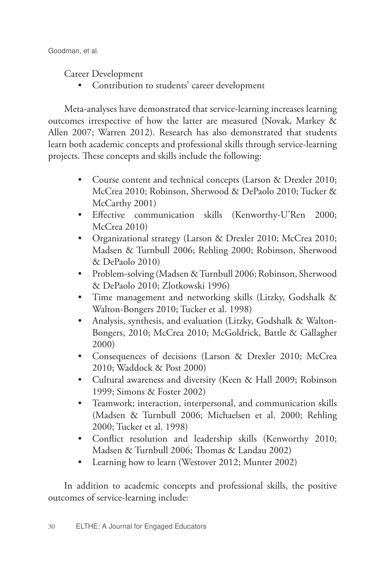Career Development

• Contribution to students' career development

Meta-analyses have demonstrated that service-learning increases learning outcomes irrespective of how the latter are measured (Novak, Markey & Allen 2007; Warren 2012). Research has also demonstrated that students learn both academic concepts and professional skills through service-learning projects. These concepts and skills include the following:

- Course content and technical concepts (Larson & Drexler 2010; McCrea 2010; Robinson, Sherwood & DePaolo 2010; Tucker & McCarthy 2001)
- Effective communication skills (Kenworthy-U'Ren 2000; McCrea 2010)
- Organizational strategy (Larson & Drexler 2010; McCrea 2010; Madsen & Turnbull 2006; Rehling 2000; Robinson, Sherwood & DePaolo 2010)
- Problem-solving (Madsen & Turnbull 2006; Robinson, Sherwood & DePaolo 2010; Zlotkowski 1996)
- Time management and networking skills (Litzky, Godshalk & Walton-Bongers 2010; Tucker et al. 1998)
- Analysis, synthesis, and evaluation (Litzky, Godshalk & Walton-Bongers, 2010; McCrea 2010; McGoldrick, Battle & Gallagher 2000)
- Consequences of decisions (Larson & Drexler 2010; McCrea 2010; Waddock & Post 2000)
- Cultural awareness and diversity (Keen & Hall 2009; Robinson 1999; Simons & Foster 2002)
- Teamwork; interaction, interpersonal, and communication skills (Madsen & Turnbull 2006; Michaelsen et al. 2000; Rehling 2000; Tucker et al. 1998)
- Conflict resolution and leadership skills (Kenworthy 2010; Madsen & Turnbull 2006; Thomas & Landau 2002)
- Learning how to learn (Westover 2012; Munter 2002)

In addition to academic concepts and professional skills, the positive outcomes of service-learning include: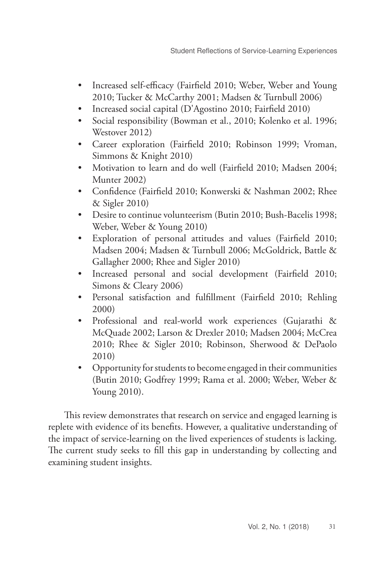- Increased self-efficacy (Fairfield 2010; Weber, Weber and Young 2010; Tucker & McCarthy 2001; Madsen & Turnbull 2006)
- Increased social capital (D'Agostino 2010; Fairfield 2010)
- Social responsibility (Bowman et al., 2010; Kolenko et al. 1996; Westover 2012)
- Career exploration (Fairfield 2010; Robinson 1999; Vroman, Simmons & Knight 2010)
- Motivation to learn and do well (Fairfield 2010; Madsen 2004; Munter 2002)
- Confidence (Fairfield 2010; Konwerski & Nashman 2002; Rhee & Sigler 2010)
- Desire to continue volunteerism (Butin 2010; Bush-Bacelis 1998; Weber, Weber & Young 2010)
- Exploration of personal attitudes and values (Fairfield 2010; Madsen 2004; Madsen & Turnbull 2006; McGoldrick, Battle & Gallagher 2000; Rhee and Sigler 2010)
- Increased personal and social development (Fairfield 2010; Simons & Cleary 2006)
- Personal satisfaction and fulfillment (Fairfield 2010; Rehling 2000)
- Professional and real-world work experiences (Gujarathi & McQuade 2002; Larson & Drexler 2010; Madsen 2004; McCrea 2010; Rhee & Sigler 2010; Robinson, Sherwood & DePaolo 2010)
- Opportunity for students to become engaged in their communities (Butin 2010; Godfrey 1999; Rama et al. 2000; Weber, Weber & Young 2010).

This review demonstrates that research on service and engaged learning is replete with evidence of its benefits. However, a qualitative understanding of the impact of service-learning on the lived experiences of students is lacking. The current study seeks to fill this gap in understanding by collecting and examining student insights.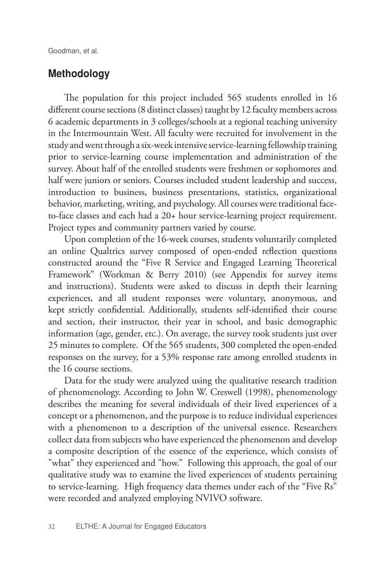## Methodology

The population for this project included 565 students enrolled in 16 different course sections (8 distinct classes) taught by 12 faculty members across 6 academic departments in 3 colleges/schools at a regional teaching university in the Intermountain West. All faculty were recruited for involvement in the study and went through a six-week intensive service-learning fellowship training prior to service-learning course implementation and administration of the survey. About half of the enrolled students were freshmen or sophomores and half were juniors or seniors. Courses included student leadership and success, introduction to business, business presentations, statistics, organizational behavior, marketing, writing, and psychology. All courses were traditional faceto-face classes and each had a 20+ hour service-learning project requirement. Project types and community partners varied by course.

Upon completion of the 16-week courses, students voluntarily completed an online Qualtrics survey composed of open-ended reflection questions constructed around the "Five R Service and Engaged Learning Theoretical Framework" (Workman & Berry 2010) (see Appendix for survey items and instructions). Students were asked to discuss in depth their learning experiences, and all student responses were voluntary, anonymous, and kept strictly confidential. Additionally, students self-identified their course and section, their instructor, their year in school, and basic demographic information (age, gender, etc.). On average, the survey took students just over 25 minutes to complete. Of the 565 students, 300 completed the open-ended responses on the survey, for a 53% response rate among enrolled students in the 16 course sections.

Data for the study were analyzed using the qualitative research tradition of phenomenology. According to John W. Creswell (1998), phenomenology describes the meaning for several individuals of their lived experiences of a concept or a phenomenon, and the purpose is to reduce individual experiences with a phenomenon to a description of the universal essence. Researchers collect data from subjects who have experienced the phenomenon and develop a composite description of the essence of the experience, which consists of "what" they experienced and "how." Following this approach, the goal of our qualitative study was to examine the lived experiences of students pertaining to service-learning. High frequency data themes under each of the "Five Rs" were recorded and analyzed employing NVIVO software.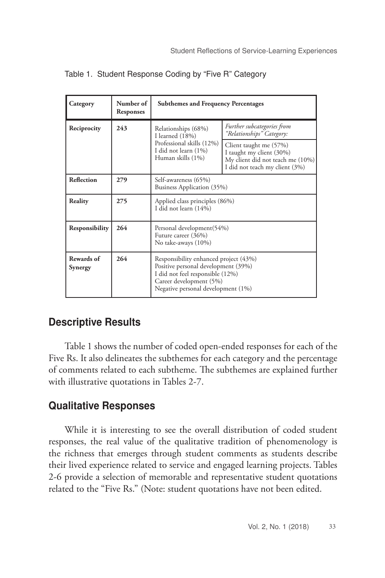| Category              | Number of<br>Responses | <b>Subthemes and Frequency Percentages</b>                                                                                                                                        |                                                                                                                          |  |
|-----------------------|------------------------|-----------------------------------------------------------------------------------------------------------------------------------------------------------------------------------|--------------------------------------------------------------------------------------------------------------------------|--|
| Reciprocity           | 243                    | Relationships (68%)<br>I learned (18%)                                                                                                                                            | Further subcategories from<br>"Relationships" Category:                                                                  |  |
|                       |                        | Professional skills (12%)<br>I did not learn (1%)<br>Human skills (1%)                                                                                                            | Client taught me (57%)<br>I taught my client (30%)<br>My client did not teach me (10%)<br>I did not teach my client (3%) |  |
| Reflection            | 279                    | Self-awareness (65%)<br>Business Application (35%)                                                                                                                                |                                                                                                                          |  |
| Reality               | 275                    | Applied class principles (86%)<br>I did not learn (14%)                                                                                                                           |                                                                                                                          |  |
| Responsibility        | 264                    | Personal development(54%)<br>Future career (36%)<br>No take-aways (10%)                                                                                                           |                                                                                                                          |  |
| Rewards of<br>Synergy | 264                    | Responsibility enhanced project (43%)<br>Positive personal development (39%)<br>I did not feel responsible (12%)<br>Career development (5%)<br>Negative personal development (1%) |                                                                                                                          |  |

Table 1. Student Response Coding by "Five R" Category

## Descriptive Results

Table 1 shows the number of coded open-ended responses for each of the Five Rs. It also delineates the subthemes for each category and the percentage of comments related to each subtheme. The subthemes are explained further with illustrative quotations in Tables 2-7.

## Qualitative Responses

While it is interesting to see the overall distribution of coded student responses, the real value of the qualitative tradition of phenomenology is the richness that emerges through student comments as students describe their lived experience related to service and engaged learning projects. Tables 2-6 provide a selection of memorable and representative student quotations related to the "Five Rs." (Note: student quotations have not been edited.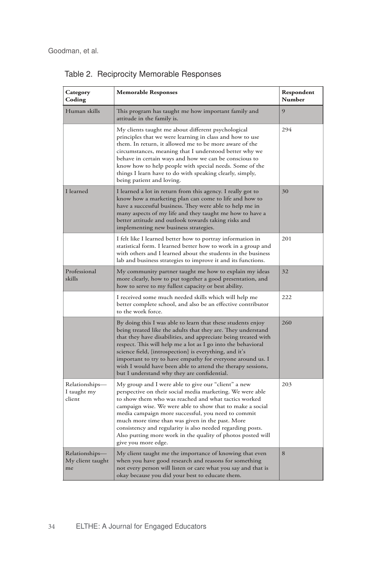| Category<br>Coding                       | <b>Memorable Responses</b>                                                                                                                                                                                                                                                                                                                                                                                                                                                                          | Respondent<br>Number |
|------------------------------------------|-----------------------------------------------------------------------------------------------------------------------------------------------------------------------------------------------------------------------------------------------------------------------------------------------------------------------------------------------------------------------------------------------------------------------------------------------------------------------------------------------------|----------------------|
| Human skills                             | This program has taught me how important family and<br>attitude in the family is.                                                                                                                                                                                                                                                                                                                                                                                                                   | 9                    |
|                                          | My clients taught me about different psychological<br>principles that we were learning in class and how to use<br>them. In return, it allowed me to be more aware of the<br>circumstances, meaning that I understood better why we<br>behave in certain ways and how we can be conscious to<br>know how to help people with special needs. Some of the<br>things I learn have to do with speaking clearly, simply,<br>being patient and loving.                                                     | 294                  |
| I learned                                | I learned a lot in return from this agency. I really got to<br>know how a marketing plan can come to life and how to<br>have a successful business. They were able to help me in<br>many aspects of my life and they taught me how to have a<br>better attitude and outlook towards taking risks and<br>implementing new business strategies.                                                                                                                                                       | 30                   |
|                                          | I felt like I learned better how to portray information in<br>statistical form. I learned better how to work in a group and<br>with others and I learned about the students in the business<br>lab and business strategies to improve it and its functions.                                                                                                                                                                                                                                         | 201                  |
| Professional<br>skills                   | My community partner taught me how to explain my ideas<br>more clearly, how to put together a good presentation, and<br>how to serve to my fullest capacity or best ability.                                                                                                                                                                                                                                                                                                                        | 32                   |
|                                          | I received some much needed skills which will help me<br>better complete school, and also be an effective contributor<br>to the work force.                                                                                                                                                                                                                                                                                                                                                         | 222                  |
|                                          | By doing this I was able to learn that these students enjoy<br>being treated like the adults that they are. They understand<br>that they have disabilities, and appreciate being treated with<br>respect. This will help me a lot as I go into the behavioral<br>science field, [introspection] is everything, and it's<br>important to try to have empathy for everyone around us. I<br>wish I would have been able to attend the therapy sessions,<br>but I understand why they are confidential. | 260                  |
| Relationships—<br>I taught my<br>client  | My group and I were able to give our "client" a new<br>perspective on their social media marketing. We were able<br>to show them who was reached and what tactics worked<br>campaign wise. We were able to show that to make a social<br>media campaign more successful, you need to commit<br>much more time than was given in the past. More<br>consistency and regularity is also needed regarding posts.<br>Also putting more work in the quality of photos posted will<br>give you more edge.  | 203                  |
| Relationships-<br>My client taught<br>me | My client taught me the importance of knowing that even<br>when you have good research and reasons for something<br>not every person will listen or care what you say and that is<br>okay because you did your best to educate them.                                                                                                                                                                                                                                                                | 8                    |

Table 2. Reciprocity Memorable Responses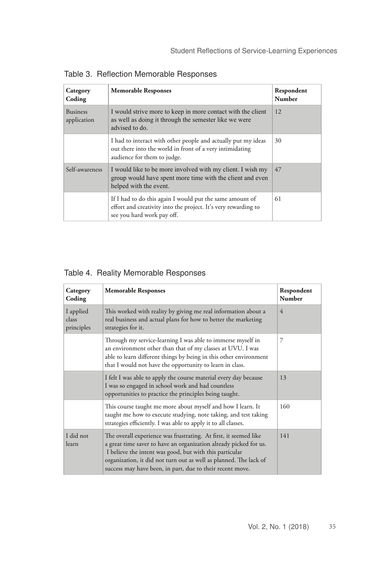| Category<br>Coding             | <b>Memorable Responses</b>                                                                                                                               | Respondent<br>Number |
|--------------------------------|----------------------------------------------------------------------------------------------------------------------------------------------------------|----------------------|
| <b>Business</b><br>application | I would strive more to keep in more contact with the client<br>as well as doing it through the semester like we were<br>advised to do.                   | 12                   |
|                                | I had to interact with other people and actually put my ideas<br>out there into the world in front of a very intimidating<br>audience for them to judge. | 30                   |
| Self-awareness                 | I would like to be more involved with my client. I wish my<br>group would have spent more time with the client and even<br>helped with the event.        | 47                   |
|                                | If I had to do this again I would put the same amount of<br>effort and creativity into the project. It's very rewarding to<br>see you hard work pay off. | 61                   |

Table 3. Reflection Memorable Responses

## Table 4. Reality Memorable Responses

| Category<br>Coding               | <b>Memorable Responses</b>                                                                                                                                                                                                                                                                                                         | Respondent<br>Number |
|----------------------------------|------------------------------------------------------------------------------------------------------------------------------------------------------------------------------------------------------------------------------------------------------------------------------------------------------------------------------------|----------------------|
| I applied<br>class<br>principles | This worked with reality by giving me real information about a<br>real business and actual plans for how to better the marketing<br>strategies for it.                                                                                                                                                                             | 4                    |
|                                  | Through my service-learning I was able to immerse myself in<br>an environment other than that of my classes at UVU. I was<br>able to learn different things by being in this other environment<br>that I would not have the opportunity to learn in class.                                                                         | 7                    |
|                                  | I felt I was able to apply the course material every day because<br>I was so engaged in school work and had countless<br>opportunities to practice the principles being taught.                                                                                                                                                    | 13                   |
|                                  | This course taught me more about myself and how I learn. It<br>taught me how to execute studying, note taking, and test taking<br>strategies efficiently. I was able to apply it to all classes.                                                                                                                                   | 160                  |
| I did not<br>learn               | The overall experience was frustrating. At first, it seemed like<br>a great time saver to have an organization already picked for us.<br>I believe the intent was good, but with this particular<br>organization, it did not turn out as well as planned. The lack of<br>success may have been, in part, due to their recent move. | 141                  |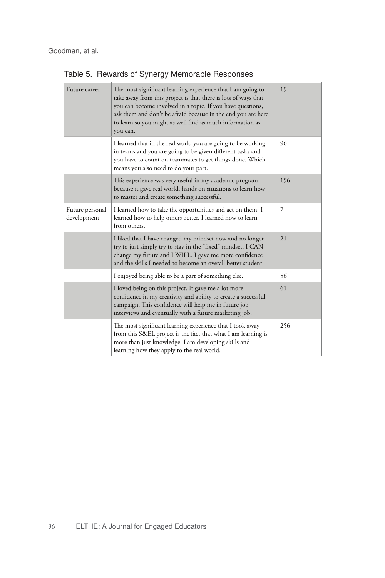| The most significant learning experience that I am going to<br>take away from this project is that there is lots of ways that<br>you can become involved in a topic. If you have questions,<br>ask them and don't be afraid because in the end you are here<br>to learn so you might as well find as much information as<br>you can. | 19  |
|--------------------------------------------------------------------------------------------------------------------------------------------------------------------------------------------------------------------------------------------------------------------------------------------------------------------------------------|-----|
| I learned that in the real world you are going to be working<br>in teams and you are going to be given different tasks and<br>you have to count on teammates to get things done. Which<br>means you also need to do your part.                                                                                                       | 96  |
| This experience was very useful in my academic program<br>because it gave real world, hands on situations to learn how<br>to master and create something successful.                                                                                                                                                                 | 156 |
| I learned how to take the opportunities and act on them. I<br>learned how to help others better. I learned how to learn<br>from others.                                                                                                                                                                                              | 7   |
| I liked that I have changed my mindset now and no longer<br>try to just simply try to stay in the "fixed" mindset. I CAN<br>change my future and I WILL. I gave me more confidence<br>and the skills I needed to become an overall better student.                                                                                   | 21  |
| I enjoyed being able to be a part of something else.                                                                                                                                                                                                                                                                                 | 56  |
| I loved being on this project. It gave me a lot more<br>confidence in my creativity and ability to create a successful<br>campaign. This confidence will help me in future job<br>interviews and eventually with a future marketing job.                                                                                             | 61  |
| The most significant learning experience that I took away<br>from this S&EL project is the fact that what I am learning is<br>more than just knowledge. I am developing skills and<br>learning how they apply to the real world.                                                                                                     | 256 |
|                                                                                                                                                                                                                                                                                                                                      |     |

ı.

Table 5. Rewards of Synergy Memorable Responses **Memorable Responses Respondent**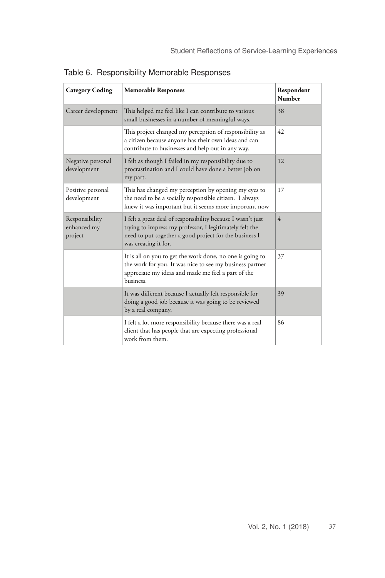| <b>Category Coding</b>                   | <b>Memorable Responses</b>                                                                                                                                                                               | Respondent<br><b>Number</b> |
|------------------------------------------|----------------------------------------------------------------------------------------------------------------------------------------------------------------------------------------------------------|-----------------------------|
| Career development                       | This helped me feel like I can contribute to various<br>small businesses in a number of meaningful ways.                                                                                                 | 38                          |
|                                          | This project changed my perception of responsibility as<br>a citizen because anyone has their own ideas and can<br>contribute to businesses and help out in any way.                                     | 42                          |
| Negative personal<br>development         | I felt as though I failed in my responsibility due to<br>procrastination and I could have done a better job on<br>my part.                                                                               | 12                          |
| Positive personal<br>development         | This has changed my perception by opening my eyes to<br>the need to be a socially responsible citizen. I always<br>knew it was important but it seems more important now                                 | 17                          |
| Responsibility<br>enhanced my<br>project | I felt a great deal of responsibility because I wasn't just<br>trying to impress my professor, I legitimately felt the<br>need to put together a good project for the business I<br>was creating it for. | $\overline{4}$              |
|                                          | It is all on you to get the work done, no one is going to<br>the work for you. It was nice to see my business partner<br>appreciate my ideas and made me feel a part of the<br>business.                 | 37                          |
|                                          | It was different because I actually felt responsible for<br>doing a good job because it was going to be reviewed<br>by a real company.                                                                   | 39                          |
|                                          | I felt a lot more responsibility because there was a real<br>client that has people that are expecting professional<br>work from them.                                                                   | 86                          |

Table 6. Responsibility Memorable Responses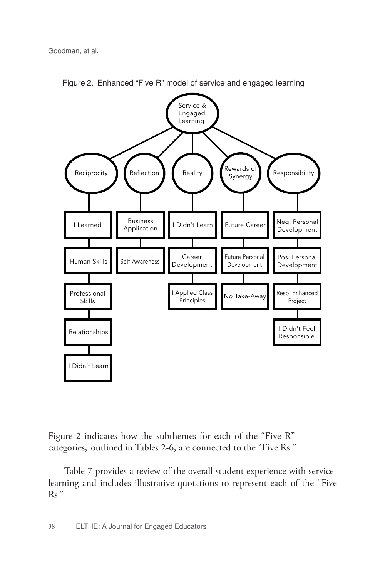Goodman, et al.



Figure 2. Enhanced "Five R" model of service and engaged learning

Figure 2 indicates how the subthemes for each of the "Five R" categories, outlined in Tables 2-6, are connected to the "Five Rs."

Table 7 provides a review of the overall student experience with servicelearning and includes illustrative quotations to represent each of the "Five Rs."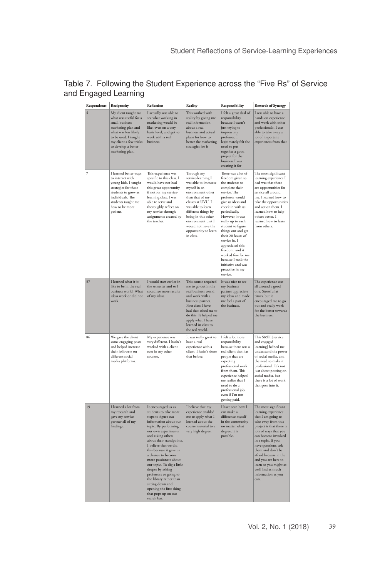| Respondents | Reciprocity                                                                                                                                                                                              | Reflection                                                                                                                                                                                                                                                                                                                                                                                                                                                                                  | Reality                                                                                                                                                                                                                                                                                  | Responsibility                                                                                                                                                                                                                                                                                                                                                                                                                            | <b>Rewards of Synergy</b>                                                                                                                                                                                                                                                                                                                                          |
|-------------|----------------------------------------------------------------------------------------------------------------------------------------------------------------------------------------------------------|---------------------------------------------------------------------------------------------------------------------------------------------------------------------------------------------------------------------------------------------------------------------------------------------------------------------------------------------------------------------------------------------------------------------------------------------------------------------------------------------|------------------------------------------------------------------------------------------------------------------------------------------------------------------------------------------------------------------------------------------------------------------------------------------|-------------------------------------------------------------------------------------------------------------------------------------------------------------------------------------------------------------------------------------------------------------------------------------------------------------------------------------------------------------------------------------------------------------------------------------------|--------------------------------------------------------------------------------------------------------------------------------------------------------------------------------------------------------------------------------------------------------------------------------------------------------------------------------------------------------------------|
| 4           | My client taught me<br>what was useful for a<br>small business<br>marketing plan and<br>what was less likely<br>to be used. I taught<br>my client a few tricks<br>to develop a better<br>marketing plan. | I actually was able to<br>see what working in<br>marketing would be<br>like, even on a very<br>basic level, and got to<br>work with a real<br>business.                                                                                                                                                                                                                                                                                                                                     | This worked with<br>reality by giving me<br>real information<br>about a real<br>business and actual<br>plans for how to<br>better the marketing<br>strategies for it                                                                                                                     | I felt a great deal of<br>responsibility<br>because I wasn't<br>just trying to<br>impress my<br>professor, I<br>legitimately felt the<br>need to put<br>together a good<br>project for the<br>business I was<br>creating it for                                                                                                                                                                                                           | I was able to have a<br>hands on experience<br>and work with other<br>professionals. I was<br>able to take away a<br>lot of important<br>experiences from that                                                                                                                                                                                                     |
| 7           | I learned better ways<br>to interact with<br>young kids. I taught<br>strategies for these<br>students to grow as<br>individuals. The<br>students taught me<br>how to be more<br>patient.                 | This experience was<br>specific to this class. I<br>would have not had<br>this great opportunity<br>if not for my service-<br>learning class. I was<br>able to serve and<br>thoroughly reflect on<br>my service through<br>assignments created by<br>the teacher.                                                                                                                                                                                                                           | Through my<br>service-learning I<br>was able to immerse<br>myself in an<br>environment other<br>than that of my<br>classes at UVU. I<br>was able to learn<br>different things by<br>being in this other<br>environment that I<br>would not have the<br>opportunity to learn<br>in class. | There was a lot of<br>freedom given to<br>the students to<br>complete their<br>service. The<br>professor would<br>give us ideas and<br>check in with us<br>periodically.<br>However, it was<br>really up to each<br>student to figure<br>things out and get<br>their 20 hours of<br>service in. I<br>appreciated this<br>freedom, and it<br>worked fine for me<br>because I took the<br>initiative and was<br>proactive in my<br>service. | The most significant<br>learning experience I<br>had was that there<br>are opportunities for<br>service all around<br>me. I learned how to<br>take the opportunities<br>and act on them. I<br>learned how to help<br>others better. I<br>learned how to learn<br>from others.                                                                                      |
| 37          | I learned what it is<br>like to be in the real<br>business world. What<br>ideas work or did not<br>work.                                                                                                 | I would start earlier in<br>the semester and so I<br>could see more results<br>of my ideas.                                                                                                                                                                                                                                                                                                                                                                                                 | This course required<br>me to go out in the<br>real business world<br>and work with a<br>business partner.<br>First class I have<br>had that asked me to<br>do this. It helped me<br>apply what I have<br>learned in class to<br>the real world.                                         | It was nice to see<br>my business<br>partner appreciate<br>my ideas and made<br>me feel a part of<br>the business.                                                                                                                                                                                                                                                                                                                        | The experience was<br>all around a good<br>one. Stressful at<br>times, but it<br>encouraged me to go<br>out and really work<br>for the better towards<br>the business.                                                                                                                                                                                             |
| 86          | We gave the client<br>some engaging posts<br>and helped increase<br>their followers on<br>different social<br>media platforms.                                                                           | My experience was<br>very different. I hadn't<br>worked with a client<br>ever in my other<br>courses.                                                                                                                                                                                                                                                                                                                                                                                       | It was really great to<br>have a real<br>experience with a<br>client. I hadn't done<br>that hefore.                                                                                                                                                                                      | I felt a lot more<br>responsibility<br>because there was a<br>real client that has<br>people that are<br>expecting<br>professional work<br>from them. This<br>experience helped<br>me realize that I<br>need to do a<br>professional job,<br>even if I'm not<br>getting paid.                                                                                                                                                             | This S&EL [service<br>and engaged<br>learning] helped me<br>understand the power<br>of social media, and<br>the need to make it<br>professional. It's not<br>just about posting on<br>social media, but<br>there is a lot of work<br>that goes into it.                                                                                                            |
| 19          | I learned a lot from<br>my research and<br>gave my service<br>partner all of my<br>findings.                                                                                                             | It encouraged us as<br>students to take more<br>steps to figure out<br>information about our<br>topic. By performing<br>our own experiments<br>and asking others<br>about their standpoints.<br>I believe that we did<br>this because it gave us<br>a chance to become<br>more passionate about<br>our topic. To dig a little<br>deeper by asking<br>professors or going to<br>the library rather than<br>sitting down and<br>opening the first thing<br>that pops up on our<br>search bar. | I believe that my<br>experience enabled<br>me to apply what I<br>learned about the<br>course material to a<br>very high degree.                                                                                                                                                          | I have seen how I<br>can make a<br>difference myself<br>in the community<br>no matter what<br>degree, it is<br>possible.                                                                                                                                                                                                                                                                                                                  | The most significant<br>learning experience<br>that I am going to<br>take away from this<br>project is that there is<br>lots of ways that you<br>can become involved<br>in a topic. If you<br>have questions, ask<br>them and don't be<br>afraid because in the<br>end you are here to<br>learn so you might as<br>well find as much<br>information as you<br>can. |

#### Table 7. Following the Student Experience across the "Five Rs" of Service and Engaged Learning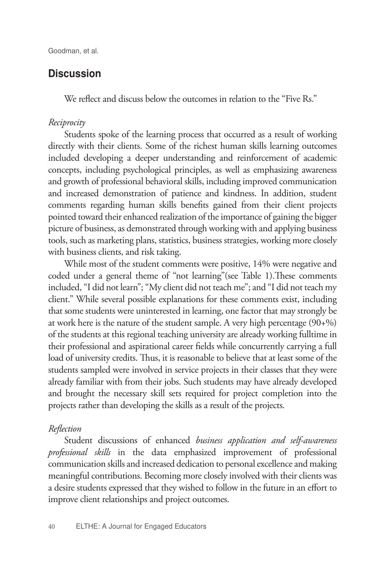## Discussion

We reflect and discuss below the outcomes in relation to the "Five Rs."

#### *Reciprocity*

Students spoke of the learning process that occurred as a result of working directly with their clients. Some of the richest human skills learning outcomes included developing a deeper understanding and reinforcement of academic concepts, including psychological principles, as well as emphasizing awareness and growth of professional behavioral skills, including improved communication and increased demonstration of patience and kindness. In addition, student comments regarding human skills benefits gained from their client projects pointed toward their enhanced realization of the importance of gaining the bigger picture of business, as demonstrated through working with and applying business tools, such as marketing plans, statistics, business strategies, working more closely with business clients, and risk taking.

While most of the student comments were positive, 14% were negative and coded under a general theme of "not learning"(see Table 1).These comments included, "I did not learn"; "My client did not teach me"; and "I did not teach my client." While several possible explanations for these comments exist, including that some students were uninterested in learning, one factor that may strongly be at work here is the nature of the student sample. A very high percentage (90+%) of the students at this regional teaching university are already working fulltime in their professional and aspirational career fields while concurrently carrying a full load of university credits. Thus, it is reasonable to believe that at least some of the students sampled were involved in service projects in their classes that they were already familiar with from their jobs. Such students may have already developed and brought the necessary skill sets required for project completion into the projects rather than developing the skills as a result of the projects.

#### *Reflection*

Student discussions of enhanced *business application and self-awareness professional skills* in the data emphasized improvement of professional communication skills and increased dedication to personal excellence and making meaningful contributions. Becoming more closely involved with their clients was a desire students expressed that they wished to follow in the future in an effort to improve client relationships and project outcomes.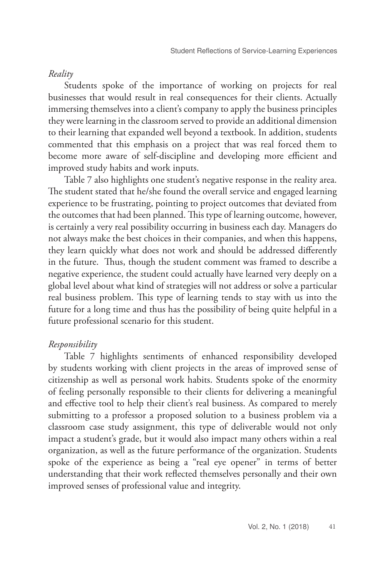#### *Reality*

Students spoke of the importance of working on projects for real businesses that would result in real consequences for their clients. Actually immersing themselves into a client's company to apply the business principles they were learning in the classroom served to provide an additional dimension to their learning that expanded well beyond a textbook. In addition, students commented that this emphasis on a project that was real forced them to become more aware of self-discipline and developing more efficient and improved study habits and work inputs.

Table 7 also highlights one student's negative response in the reality area. The student stated that he/she found the overall service and engaged learning experience to be frustrating, pointing to project outcomes that deviated from the outcomes that had been planned. This type of learning outcome, however, is certainly a very real possibility occurring in business each day. Managers do not always make the best choices in their companies, and when this happens, they learn quickly what does not work and should be addressed differently in the future. Thus, though the student comment was framed to describe a negative experience, the student could actually have learned very deeply on a global level about what kind of strategies will not address or solve a particular real business problem. This type of learning tends to stay with us into the future for a long time and thus has the possibility of being quite helpful in a future professional scenario for this student.

### *Responsibility*

Table 7 highlights sentiments of enhanced responsibility developed by students working with client projects in the areas of improved sense of citizenship as well as personal work habits. Students spoke of the enormity of feeling personally responsible to their clients for delivering a meaningful and effective tool to help their client's real business. As compared to merely submitting to a professor a proposed solution to a business problem via a classroom case study assignment, this type of deliverable would not only impact a student's grade, but it would also impact many others within a real organization, as well as the future performance of the organization. Students spoke of the experience as being a "real eye opener" in terms of better understanding that their work reflected themselves personally and their own improved senses of professional value and integrity.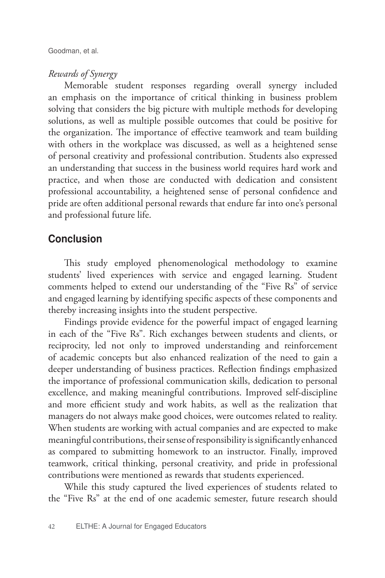### *Rewards of Synergy*

Memorable student responses regarding overall synergy included an emphasis on the importance of critical thinking in business problem solving that considers the big picture with multiple methods for developing solutions, as well as multiple possible outcomes that could be positive for the organization. The importance of effective teamwork and team building with others in the workplace was discussed, as well as a heightened sense of personal creativity and professional contribution. Students also expressed an understanding that success in the business world requires hard work and practice, and when those are conducted with dedication and consistent professional accountability, a heightened sense of personal confidence and pride are often additional personal rewards that endure far into one's personal and professional future life.

## Conclusion

This study employed phenomenological methodology to examine students' lived experiences with service and engaged learning. Student comments helped to extend our understanding of the "Five Rs" of service and engaged learning by identifying specific aspects of these components and thereby increasing insights into the student perspective.

Findings provide evidence for the powerful impact of engaged learning in each of the "Five Rs". Rich exchanges between students and clients, or reciprocity, led not only to improved understanding and reinforcement of academic concepts but also enhanced realization of the need to gain a deeper understanding of business practices. Reflection findings emphasized the importance of professional communication skills, dedication to personal excellence, and making meaningful contributions. Improved self-discipline and more efficient study and work habits, as well as the realization that managers do not always make good choices, were outcomes related to reality. When students are working with actual companies and are expected to make meaningful contributions, their sense of responsibility is significantly enhanced as compared to submitting homework to an instructor. Finally, improved teamwork, critical thinking, personal creativity, and pride in professional contributions were mentioned as rewards that students experienced.

While this study captured the lived experiences of students related to the "Five Rs" at the end of one academic semester, future research should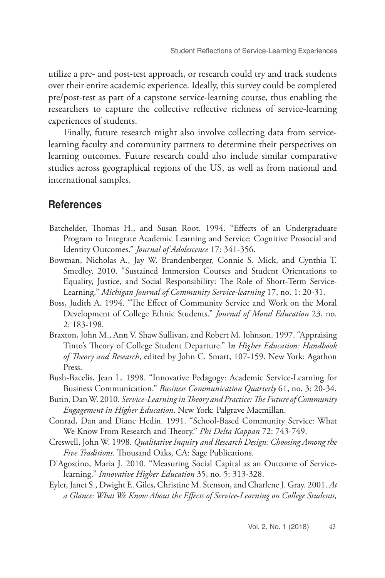utilize a pre- and post-test approach, or research could try and track students over their entire academic experience. Ideally, this survey could be completed pre/post-test as part of a capstone service-learning course, thus enabling the researchers to capture the collective reflective richness of service-learning experiences of students.

Finally, future research might also involve collecting data from servicelearning faculty and community partners to determine their perspectives on learning outcomes. Future research could also include similar comparative studies across geographical regions of the US, as well as from national and international samples.

## **References**

- Batchelder, Thomas H., and Susan Root. 1994. "Effects of an Undergraduate Program to Integrate Academic Learning and Service: Cognitive Prosocial and Identity Outcomes." *Journal of Adolescence* 17: 341-356.
- Bowman, Nicholas A., Jay W. Brandenberger, Connie S. Mick, and Cynthia T. Smedley. 2010. "Sustained Immersion Courses and Student Orientations to Equality, Justice, and Social Responsibility: The Role of Short-Term Service-Learning." *Michigan Journal of Community Service-learning* 17, no. 1: 20-31.
- Boss, Judith A. 1994. "The Effect of Community Service and Work on the Moral Development of College Ethnic Students." *Journal of Moral Education* 23, no. 2: 183-198.
- Braxton, John M., Ann V. Shaw Sullivan, and Robert M. Johnson. 1997. "Appraising Tinto's Theory of College Student Departure." I*n Higher Education: Handbook of Theory and Research*, edited by John C. Smart, 107-159. New York: Agathon Press.
- Bush-Bacelis, Jean L. 1998. "Innovative Pedagogy: Academic Service-Learning for Business Communication." *Business Communication Quarterly* 61, no. 3: 20-34.
- Butin, Dan W. 2010. *Service-Learning in Theory and Practice: The Future of Community Engagement in Higher Education*. New York: Palgrave Macmillan.
- Conrad, Dan and Diane Hedin. 1991. "School-Based Community Service: What We Know From Research and Theory." *Phi Delta Kappan* 72: 743-749.
- Creswell, John W. 1998. *Qualitative Inquiry and Research Design: Choosing Among the Five Traditions*. Thousand Oaks, CA: Sage Publications.
- D'Agostino, Maria J. 2010. "Measuring Social Capital as an Outcome of Servicelearning." *Innovative Higher Education* 35, no. 5: 313-328.
- Eyler, Janet S., Dwight E. Giles, Christine M. Stenson, and Charlene J. Gray. 2001. *At a Glance: What We Know About the Effects of Service-Learning on College Students,*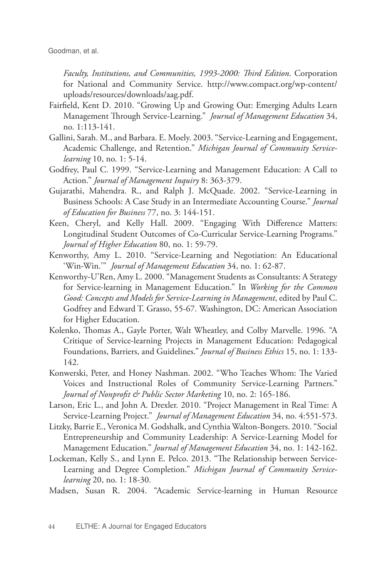Goodman, et al.

*Faculty, Institutions, and Communities, 1993-2000: Third Edition*. Corporation for National and Community Service. http://www.compact.org/wp-content/ uploads/resources/downloads/aag.pdf.

- Fairfield, Kent D. 2010. "Growing Up and Growing Out: Emerging Adults Learn Management Through Service-Learning." *Journal of Management Education* 34, no. 1:113-141.
- Gallini, Sarah. M., and Barbara. E. Moely. 2003. "Service-Learning and Engagement, Academic Challenge, and Retention." *Michigan Journal of Community Servicelearning* 10, no. 1: 5-14.
- Godfrey, Paul C. 1999. "Service-Learning and Management Education: A Call to Action." *Journal of Management Inquiry* 8: 363-379.
- Gujarathi, Mahendra. R., and Ralph J. McQuade. 2002. "Service-Learning in Business Schools: A Case Study in an Intermediate Accounting Course." *Journal of Education for Business* 77, no. 3: 144-151.
- Keen, Cheryl, and Kelly Hall. 2009. "Engaging With Difference Matters: Longitudinal Student Outcomes of Co-Curricular Service-Learning Programs." *Journal of Higher Education* 80, no. 1: 59-79.
- Kenworthy, Amy L. 2010. "Service-Learning and Negotiation: An Educational 'Win-Win.'" *Journal of Management Education* 34, no. 1: 62-87.
- Kenworthy-U'Ren, Amy L. 2000. "Management Students as Consultants: A Strategy for Service-learning in Management Education." In *Working for the Common Good: Concepts and Models for Service-Learning in Management*, edited by Paul C. Godfrey and Edward T. Grasso, 55-67. Washington, DC: American Association for Higher Education.
- Kolenko, Thomas A., Gayle Porter, Walt Wheatley, and Colby Marvelle. 1996. "A Critique of Service-learning Projects in Management Education: Pedagogical Foundations, Barriers, and Guidelines." *Journal of Business Ethics* 15, no. 1: 133- 142.
- Konwerski, Peter, and Honey Nashman. 2002. "Who Teaches Whom: The Varied Voices and Instructional Roles of Community Service-Learning Partners." *Journal of Nonprofit & Public Sector Marketing* 10, no. 2: 165-186.
- Larson, Eric L., and John A. Drexler. 2010. "Project Management in Real Time: A Service-Learning Project." *Journal of Management Education* 34, no. 4:551-573.
- Litzky, Barrie E., Veronica M. Godshalk, and Cynthia Walton-Bongers. 2010. "Social Entrepreneurship and Community Leadership: A Service-Learning Model for Management Education." *Journal of Management Education* 34, no. 1: 142-162.
- Lockeman, Kelly S., and Lynn E. Pelco. 2013. "The Relationship between Service-Learning and Degree Completion." *Michigan Journal of Community Servicelearning* 20, no. 1: 18-30.
- Madsen, Susan R. 2004. "Academic Service-learning in Human Resource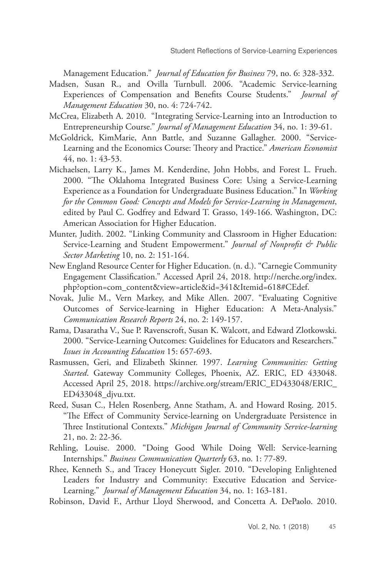Management Education." *Journal of Education for Business* 79, no. 6: 328-332.

- Madsen, Susan R., and Ovilla Turnbull. 2006. "Academic Service-learning Experiences of Compensation and Benefits Course Students." *Journal of Management Education* 30, no. 4: 724-742.
- McCrea, Elizabeth A. 2010. "Integrating Service-Learning into an Introduction to Entrepreneurship Course." *Journal of Management Education* 34, no. 1: 39-61.
- McGoldrick, KimMarie, Ann Battle, and Suzanne Gallagher. 2000. "Service-Learning and the Economics Course: Theory and Practice." *American Economist*  44, no. 1: 43-53.
- Michaelsen, Larry K., James M. Kenderdine, John Hobbs, and Forest L. Frueh. 2000. "The Oklahoma Integrated Business Core: Using a Service-Learning Experience as a Foundation for Undergraduate Business Education." In *Working for the Common Good: Concepts and Models for Service-Learning in Management*, edited by Paul C. Godfrey and Edward T. Grasso, 149-166. Washington, DC: American Association for Higher Education.
- Munter, Judith. 2002. "Linking Community and Classroom in Higher Education: Service-Learning and Student Empowerment." *Journal of Nonprofit & Public Sector Marketing* 10, no. 2: 151-164.
- New England Resource Center for Higher Education. (n. d.). "Carnegie Community Engagement Classification." Accessed April 24, 2018. http://nerche.org/index. php?option=com\_content&view=article&id=341&Itemid=618#CEdef.
- Novak, Julie M., Vern Markey, and Mike Allen. 2007. "Evaluating Cognitive Outcomes of Service-learning in Higher Education: A Meta-Analysis." *Communication Research Reports* 24, no. 2: 149-157.
- Rama, Dasaratha V., Sue P. Ravenscroft, Susan K. Walcott, and Edward Zlotkowski. 2000. "Service-Learning Outcomes: Guidelines for Educators and Researchers." *Issues in Accounting Education* 15: 657-693.
- Rasmussen, Geri, and Elizabeth Skinner. 1997. *Learning Communities: Getting Started*. Gateway Community Colleges, Phoenix, AZ. ERIC, ED 433048. Accessed April 25, 2018. https://archive.org/stream/ERIC\_ED433048/ERIC\_ ED433048\_djvu.txt.
- Reed, Susan C., Helen Rosenberg, Anne Statham, A. and Howard Rosing. 2015. "The Effect of Community Service-learning on Undergraduate Persistence in Three Institutional Contexts." *Michigan Journal of Community Service-learning*  21, no. 2: 22-36.
- Rehling, Louise. 2000. "Doing Good While Doing Well: Service-learning Internships." *Business Communication Quarterly* 63, no. 1: 77-89.
- Rhee, Kenneth S., and Tracey Honeycutt Sigler. 2010. "Developing Enlightened Leaders for Industry and Community: Executive Education and Service-Learning." *Journal of Management Education* 34, no. 1: 163-181.

Robinson, David F., Arthur Lloyd Sherwood, and Concetta A. DePaolo. 2010.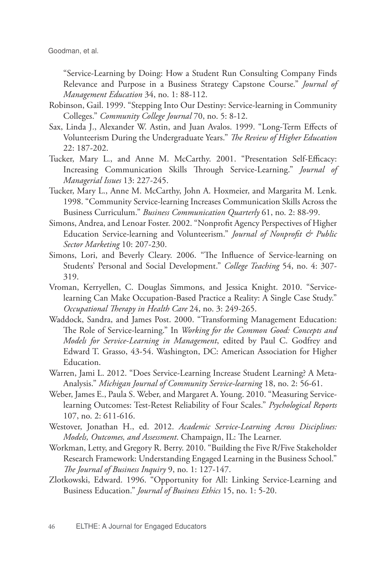Goodman, et al.

"Service-Learning by Doing: How a Student Run Consulting Company Finds Relevance and Purpose in a Business Strategy Capstone Course." *Journal of Management Education* 34, no. 1: 88-112.

- Robinson, Gail. 1999. "Stepping Into Our Destiny: Service-learning in Community Colleges." *Community College Journal* 70, no. 5: 8-12.
- Sax, Linda J., Alexander W. Astin, and Juan Avalos. 1999. "Long-Term Effects of Volunteerism During the Undergraduate Years." *The Review of Higher Education* 22: 187-202.
- Tucker, Mary L., and Anne M. McCarthy. 2001. "Presentation Self-Efficacy: Increasing Communication Skills Through Service-Learning." *Journal of Managerial Issues* 13: 227-245.
- Tucker, Mary L., Anne M. McCarthy, John A. Hoxmeier, and Margarita M. Lenk. 1998. "Community Service-learning Increases Communication Skills Across the Business Curriculum." *Business Communication Quarterly* 61, no. 2: 88-99.
- Simons, Andrea, and Lenoar Foster. 2002. "Nonprofit Agency Perspectives of Higher Education Service-learning and Volunteerism." *Journal of Nonprofit & Public Sector Marketing* 10: 207-230.
- Simons, Lori, and Beverly Cleary. 2006. "The Influence of Service-learning on Students' Personal and Social Development." *College Teaching* 54, no. 4: 307- 319.
- Vroman, Kerryellen, C. Douglas Simmons, and Jessica Knight. 2010. "Servicelearning Can Make Occupation-Based Practice a Reality: A Single Case Study." *Occupational Therapy in Health Care* 24, no. 3: 249-265.
- Waddock, Sandra, and James Post. 2000. "Transforming Management Education: The Role of Service-learning." In *Working for the Common Good: Concepts and Models for Service-Learning in Management*, edited by Paul C. Godfrey and Edward T. Grasso, 43-54. Washington, DC: American Association for Higher Education.
- Warren, Jami L. 2012. "Does Service-Learning Increase Student Learning? A Meta-Analysis." *Michigan Journal of Community Service-learning* 18, no. 2: 56-61.
- Weber, James E., Paula S. Weber, and Margaret A. Young. 2010. "Measuring Servicelearning Outcomes: Test-Retest Reliability of Four Scales." *Psychological Reports*  107, no. 2: 611-616.
- Westover, Jonathan H., ed. 2012. *Academic Service-Learning Across Disciplines: Models, Outcomes, and Assessment*. Champaign, IL: The Learner.
- Workman, Letty, and Gregory R. Berry. 2010. "Building the Five R/Five Stakeholder Research Framework: Understanding Engaged Learning in the Business School." *The Journal of Business Inquiry* 9, no. 1: 127-147.
- Zlotkowski, Edward. 1996. "Opportunity for All: Linking Service-Learning and Business Education." *Journal of Business Ethics* 15, no. 1: 5-20.